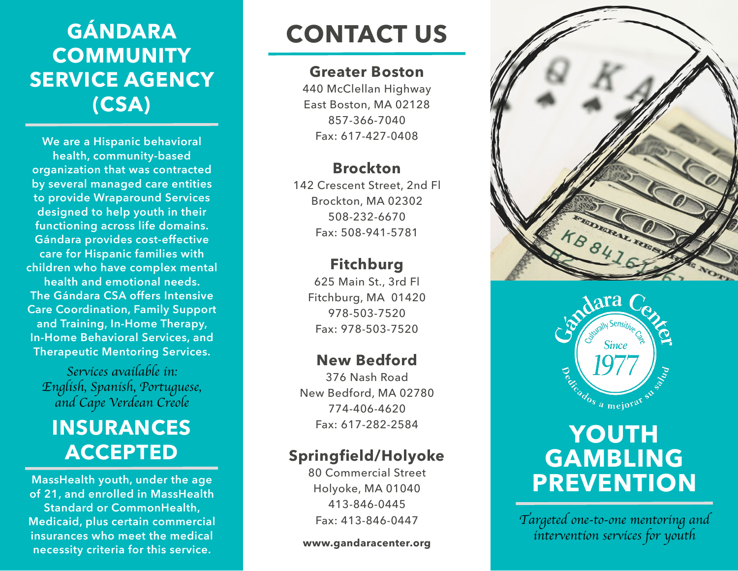# **GÁNDARA COMMUNITY SERVICE AGENCY (CSA)**

**We are a Hispanic behavioral health, community-based organization that was contracted by several managed care entities to provide Wraparound Services designed to help youth in their functioning across life domains. Gándara provides cost-effective care for Hispanic families with children who have complex mental health and emotional needs. The Gándara CSA offers Intensive Care Coordination, Family Support and Training, In-Home Therapy, In-Home Behavioral Services, and Therapeutic Mentoring Services.**

*Services available in: English, Spanish, Portuguese, and Cape Verdean Creole*

### **INSURANCES ACCEPTED**

**MassHealth youth, under the age of 21, and enrolled in MassHealth Standard or CommonHealth, Medicaid, plus certain commercial insurances who meet the medical necessity criteria for this service.**

# **CONTACT US**

#### **Greater Boston**

440 McClellan Highway East Boston, MA 02128 857-366-7040 Fax: 617-427-0408

#### **Brockton**

142 Crescent Street, 2nd Fl Brockton, MA 02302 508-232-6670 Fax: 508-941-5781

#### **Fitchburg**

625 Main St., 3rd Fl Fitchburg, MA 01420 978-503-7520 Fax: 978-503-7520

#### **New Bedford**

376 Nash Road New Bedford, MA 02780 774-406-4620 Fax: 617-282-2584

#### **Springfield/Holyoke**

80 Commercial Street Holyoke, MA 01040 413-846-0445 Fax: 413-846-0447

**www.gandaracenter.org**





## **YOUTH GAMBLING PREVENTION**

*Targeted one-to-one mentoring and intervention services for youth*